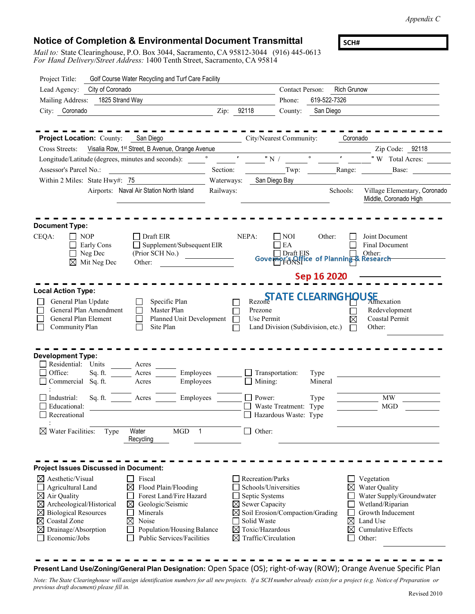*Appendix C*

## **Notice of Completion & Environmental Document Transmittal**

*Mail to:* State Clearinghouse, P.O. Box 3044, Sacramento, CA 95812-3044 (916) 445-0613 *For Hand Delivery/Street Address:* 1400 Tenth Street, Sacramento, CA 95814

**SCH#**

| Project Title:                                                                                                                                                                                                                                                   |                                                                | Golf Course Water Recycling and Turf Care Facility                                                                                                                                      |            |                                                                                                                                                                                                                          |                                                                  |                         |                    |                                                                                                                                              |
|------------------------------------------------------------------------------------------------------------------------------------------------------------------------------------------------------------------------------------------------------------------|----------------------------------------------------------------|-----------------------------------------------------------------------------------------------------------------------------------------------------------------------------------------|------------|--------------------------------------------------------------------------------------------------------------------------------------------------------------------------------------------------------------------------|------------------------------------------------------------------|-------------------------|--------------------|----------------------------------------------------------------------------------------------------------------------------------------------|
| Lead Agency:                                                                                                                                                                                                                                                     | City of Coronado                                               |                                                                                                                                                                                         |            |                                                                                                                                                                                                                          | <b>Contact Person:</b>                                           |                         | <b>Rich Grunow</b> |                                                                                                                                              |
| Mailing Address:                                                                                                                                                                                                                                                 |                                                                | Phone:                                                                                                                                                                                  |            |                                                                                                                                                                                                                          | 619-522-7326                                                     |                         |                    |                                                                                                                                              |
| City: Coronado                                                                                                                                                                                                                                                   |                                                                |                                                                                                                                                                                         | Zip: 92118 |                                                                                                                                                                                                                          | County:                                                          | San Diego               |                    |                                                                                                                                              |
|                                                                                                                                                                                                                                                                  |                                                                |                                                                                                                                                                                         |            |                                                                                                                                                                                                                          |                                                                  |                         |                    |                                                                                                                                              |
| <b>Project Location: County:</b> San Diego                                                                                                                                                                                                                       |                                                                |                                                                                                                                                                                         |            |                                                                                                                                                                                                                          | City/Nearest Community:                                          |                         | Coronado           |                                                                                                                                              |
| Cross Streets:                                                                                                                                                                                                                                                   |                                                                | Visalia Row, 1 <sup>st</sup> Street, B Avenue, Orange Avenue                                                                                                                            |            |                                                                                                                                                                                                                          |                                                                  |                         |                    | Zip Code: 92118                                                                                                                              |
|                                                                                                                                                                                                                                                                  |                                                                | Longitude/Latitude (degrees, minutes and seconds):                                                                                                                                      |            | " N / $\sqrt{ }$                                                                                                                                                                                                         |                                                                  | $\circ$                 | $\pmb{r}$          | "W Total Acres:                                                                                                                              |
| Assessor's Parcel No.:                                                                                                                                                                                                                                           |                                                                |                                                                                                                                                                                         | Section:   |                                                                                                                                                                                                                          | Twp:                                                             |                         | Range:             | Base:                                                                                                                                        |
| Within 2 Miles: State Hwy#: 75                                                                                                                                                                                                                                   |                                                                |                                                                                                                                                                                         | Waterways: |                                                                                                                                                                                                                          | San Diego Bay                                                    |                         |                    |                                                                                                                                              |
|                                                                                                                                                                                                                                                                  |                                                                | Airports: Naval Air Station North Island                                                                                                                                                | Railways:  |                                                                                                                                                                                                                          |                                                                  |                         | Schools:           | Village Elementary, Coronado<br>Middle, Coronado High                                                                                        |
| <b>Document Type:</b>                                                                                                                                                                                                                                            |                                                                |                                                                                                                                                                                         |            |                                                                                                                                                                                                                          |                                                                  |                         |                    |                                                                                                                                              |
| CEQA:                                                                                                                                                                                                                                                            | <b>NOP</b><br>Early Cons<br>Neg Dec<br>$\boxtimes$ Mit Neg Dec | Draft EIR<br>Supplement/Subsequent EIR<br>(Prior SCH No.)<br>Other:                                                                                                                     |            | NEPA:                                                                                                                                                                                                                    | <b>NOI</b><br>$\mathop{\rm EA}\nolimits$                         | Other:                  |                    | Joint Document<br><b>Final Document</b><br>Draft EIS<br>Governor Soffice of Planning & Research                                              |
|                                                                                                                                                                                                                                                                  |                                                                |                                                                                                                                                                                         |            |                                                                                                                                                                                                                          |                                                                  | Sep 16 2020             |                    |                                                                                                                                              |
| <b>Local Action Type:</b>                                                                                                                                                                                                                                        |                                                                |                                                                                                                                                                                         |            |                                                                                                                                                                                                                          |                                                                  |                         |                    |                                                                                                                                              |
| General Plan Update<br>General Plan Element<br>Community Plan                                                                                                                                                                                                    | General Plan Amendment                                         | Specific Plan<br>Master Plan<br>Planned Unit Development<br>Site Plan                                                                                                                   |            | Rezone<br>Prezone<br>Use Permit                                                                                                                                                                                          | <b>STATE CLEARING HOUSE</b><br>Land Division (Subdivision, etc.) |                         | ⊠                  | Annexation<br>Redevelopment<br>Coastal Permit<br>Other:                                                                                      |
| Development Type:<br>Residential: Units<br>Office:<br>Commercial Sq. ft.<br>Industrial:                                                                                                                                                                          | Sq. ft.<br>Sq. ft.                                             | Acres<br>Employees<br>Acres<br>Employees<br>Acres<br>Employees<br>Acres                                                                                                                 |            | Transportation:<br>Mining:<br>$\Box$ Power:                                                                                                                                                                              |                                                                  | Type<br>Mineral<br>Type |                    | <b>MW</b>                                                                                                                                    |
| Educational:<br>Recreational                                                                                                                                                                                                                                     |                                                                |                                                                                                                                                                                         |            | $\Box$                                                                                                                                                                                                                   | Waste Treatment: Type<br>Hazardous Waste: Type                   |                         |                    | <b>MGD</b>                                                                                                                                   |
| $\boxtimes$ Water Facilities:                                                                                                                                                                                                                                    | Type                                                           | Water<br><b>MGD</b><br>-1<br>Recycling                                                                                                                                                  |            | Other:                                                                                                                                                                                                                   |                                                                  |                         |                    |                                                                                                                                              |
|                                                                                                                                                                                                                                                                  |                                                                |                                                                                                                                                                                         |            |                                                                                                                                                                                                                          |                                                                  |                         |                    |                                                                                                                                              |
| <b>Project Issues Discussed in Document:</b><br>$\boxtimes$ Aesthetic/Visual<br>Agricultural Land<br>$\boxtimes$ Air Quality<br>$\boxtimes$ Archeological/Historical<br><b>Biological Resources</b><br>⊠<br>Coastal Zone<br>Drainage/Absorption<br>Economic/Jobs |                                                                | Fiscal<br>Flood Plain/Flooding<br>⊠<br>Forest Land/Fire Hazard<br>⊠<br>Geologic/Seismic<br>Minerals<br>$\boxtimes$<br>Noise<br>Population/Housing Balance<br>Public Services/Facilities |            | Recreation/Parks<br>Schools/Universities<br>Septic Systems<br>$\boxtimes$ Sewer Capacity<br>$\boxtimes$ Soil Erosion/Compaction/Grading<br>Solid Waste<br>$\boxtimes$ Toxic/Hazardous<br>$\boxtimes$ Traffic/Circulation |                                                                  |                         | ⊠<br>⊠<br>⊠        | Vegetation<br>Water Quality<br>Water Supply/Groundwater<br>Wetland/Riparian<br>Growth Inducement<br>Land Use<br>Cumulative Effects<br>Other: |

## **Present Land Use/Zoning/General Plan Designation:** Open Space (OS); right-of-way (ROW); Orange Avenue Specific Plan

Note: The State Clearinghouse will assign identification numbers for all new projects. If a SCH number already exists for a project (e.g. Notice of Preparation or *previous draft document) please fill in.* Revised 2010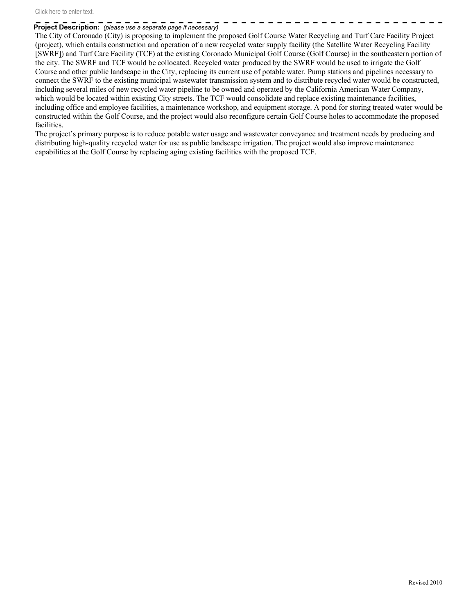## **Project Description:** *(please use a separate page if necessary)*

The City of Coronado (City) is proposing to implement the proposed Golf Course Water Recycling and Turf Care Facility Project (project), which entails construction and operation of a new recycled water supply facility (the Satellite Water Recycling Facility [SWRF]) and Turf Care Facility (TCF) at the existing Coronado Municipal Golf Course (Golf Course) in the southeastern portion of the city. The SWRF and TCF would be collocated. Recycled water produced by the SWRF would be used to irrigate the Golf Course and other public landscape in the City, replacing its current use of potable water. Pump stations and pipelines necessary to connect the SWRF to the existing municipal wastewater transmission system and to distribute recycled water would be constructed, including several miles of new recycled water pipeline to be owned and operated by the California American Water Company, which would be located within existing City streets. The TCF would consolidate and replace existing maintenance facilities, including office and employee facilities, a maintenance workshop, and equipment storage. A pond for storing treated water would be constructed within the Golf Course, and the project would also reconfigure certain Golf Course holes to accommodate the proposed facilities.

The project's primary purpose is to reduce potable water usage and wastewater conveyance and treatment needs by producing and distributing high-quality recycled water for use as public landscape irrigation. The project would also improve maintenance capabilities at the Golf Course by replacing aging existing facilities with the proposed TCF.